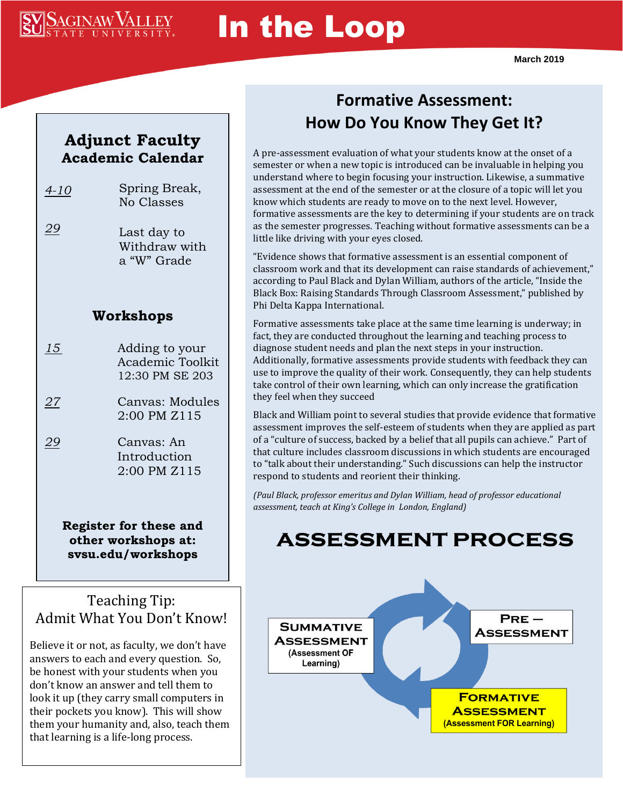

# In the Loop

### **Adjunct Faculty Academic Calendar**

- *4-10* Spring Break, No Classes
- *29* Last day to Withdraw with a "W" Grade

#### **Workshops**

*15* Adding to your Academic Toolkit 12:30 PM SE 203

*27* Canvas: Modules 2:00 PM Z115

*29* Canvas: An Introduction 2:00 PM Z115

> **Register for these and other workshops at: svsu.edu/workshops**

### Teaching Tip: Admit What You Don't Know!

Believe it or not, as faculty, we don't have answers to each and every question. So, be honest with your students when you don't know an answer and tell them to look it up (they carry small computers in their pockets you know). This will show them your humanity and, also, teach them that learning is a life-long process.

### **Formative Assessment: How Do You Know They Get It?**

A pre-assessment evaluation of what your students know at the onset of a semester or when a new topic is introduced can be invaluable in helping you understand where to begin focusing your instruction. Likewise, a summative assessment at the end of the semester or at the closure of a topic will let you know which students are ready to move on to the next level. However, formative assessments are the key to determining if your students are on track as the semester progresses. Teaching without formative assessments can be a little like driving with your eyes closed.

"Evidence shows that formative assessment is an essential component of classroom work and that its development can raise standards of achievement," according to Paul Black and Dylan William, authors of the article, "Inside the Black Box: Raising Standards Through Classroom Assessment," published by Phi Delta Kappa International.

Formative assessments take place at the same time learning is underway; in fact, they are conducted throughout the learning and teaching process to diagnose student needs and plan the next steps in your instruction. Additionally, formative assessments provide students with feedback they can use to improve the quality of their work. Consequently, they can help students take control of their own learning, which can only increase the gratification they feel when they succeed

Black and William point to several studies that provide evidence that formative assessment improves the self-esteem of students when they are applied as part of a "culture of success, backed by a belief that all pupils can achieve." Part of that culture includes classroom discussions in which students are encouraged to "talk about their understanding." Such discussions can help the instructor respond to students and reorient their thinking.

*(Paul Black, professor emeritus and Dylan William, head of professor educational assessment, teach at King's College in London, England)*

## **ASSESSMENT PROCESS**